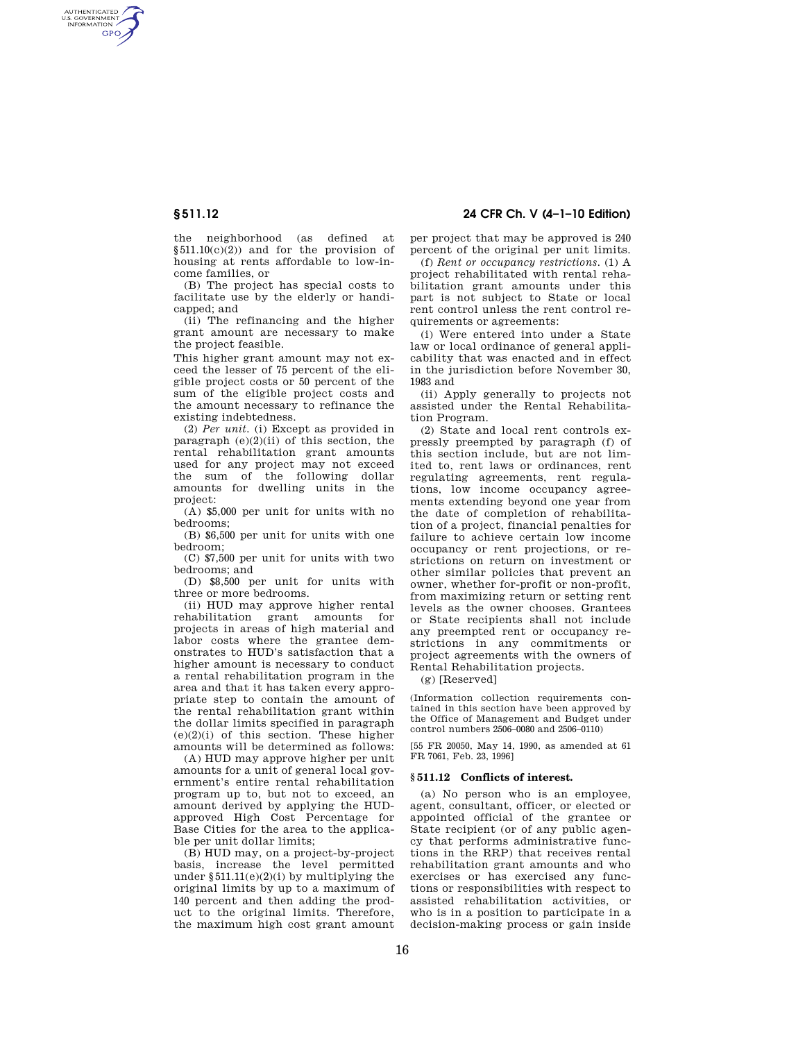AUTHENTICATED<br>U.S. GOVERNMENT<br>INFORMATION **GPO** 

> the neighborhood (as defined at  $§511.10(c)(2))$  and for the provision of housing at rents affordable to low-income families, or

(B) The project has special costs to facilitate use by the elderly or handicapped; and

(ii) The refinancing and the higher grant amount are necessary to make the project feasible.

This higher grant amount may not exceed the lesser of 75 percent of the eligible project costs or 50 percent of the sum of the eligible project costs and the amount necessary to refinance the existing indebtedness.

(2) *Per unit.* (i) Except as provided in paragraph  $(e)(2)(ii)$  of this section, the rental rehabilitation grant amounts used for any project may not exceed the sum of the following dollar amounts for dwelling units in the project:

(A) \$5,000 per unit for units with no bedrooms;

(B) \$6,500 per unit for units with one bedroom;

(C) \$7,500 per unit for units with two bedrooms; and

(D) \$8,500 per unit for units with three or more bedrooms.

(ii) HUD may approve higher rental rehabilitation grant amounts for projects in areas of high material and labor costs where the grantee demonstrates to HUD's satisfaction that a higher amount is necessary to conduct a rental rehabilitation program in the area and that it has taken every appropriate step to contain the amount of the rental rehabilitation grant within the dollar limits specified in paragraph  $(e)(2)(i)$  of this section. These higher amounts will be determined as follows:

(A) HUD may approve higher per unit amounts for a unit of general local government's entire rental rehabilitation program up to, but not to exceed, an amount derived by applying the HUDapproved High Cost Percentage for Base Cities for the area to the applicable per unit dollar limits;

(B) HUD may, on a project-by-project basis, increase the level permitted under  $§511.11(e)(2)(i)$  by multiplying the original limits by up to a maximum of 140 percent and then adding the product to the original limits. Therefore, the maximum high cost grant amount

**§ 511.12 24 CFR Ch. V (4–1–10 Edition)** 

per project that may be approved is 240 percent of the original per unit limits.

(f) *Rent or occupancy restrictions.* (1) A project rehabilitated with rental rehabilitation grant amounts under this part is not subject to State or local rent control unless the rent control requirements or agreements:

(i) Were entered into under a State law or local ordinance of general applicability that was enacted and in effect in the jurisdiction before November 30, 1983 and

(ii) Apply generally to projects not assisted under the Rental Rehabilitation Program.

(2) State and local rent controls expressly preempted by paragraph (f) of this section include, but are not limited to, rent laws or ordinances, rent regulating agreements, rent regulations, low income occupancy agreements extending beyond one year from the date of completion of rehabilitation of a project, financial penalties for failure to achieve certain low income occupancy or rent projections, or restrictions on return on investment or other similar policies that prevent an owner, whether for-profit or non-profit, from maximizing return or setting rent levels as the owner chooses. Grantees or State recipients shall not include any preempted rent or occupancy restrictions in any commitments or project agreements with the owners of Rental Rehabilitation projects.

(g) [Reserved]

(Information collection requirements contained in this section have been approved by the Office of Management and Budget under control numbers 2506–0080 and 2506–0110)

[55 FR 20050, May 14, 1990, as amended at 61 FR 7061, Feb. 23, 1996]

## **§ 511.12 Conflicts of interest.**

(a) No person who is an employee, agent, consultant, officer, or elected or appointed official of the grantee or State recipient (or of any public agency that performs administrative functions in the RRP) that receives rental rehabilitation grant amounts and who exercises or has exercised any functions or responsibilities with respect to assisted rehabilitation activities, or who is in a position to participate in a decision-making process or gain inside